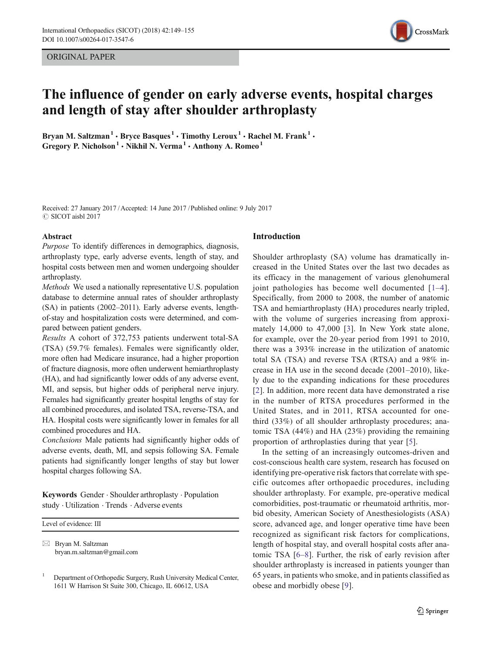ORIGINAL PAPER



# The influence of gender on early adverse events, hospital charges and length of stay after shoulder arthroplasty

Bryan M. Saltzman<sup>1</sup>  $\cdot$  Bryce Basques<sup>1</sup>  $\cdot$  Timothy Leroux<sup>1</sup>  $\cdot$  Rachel M. Frank<sup>1</sup>  $\cdot$ Gregory P. Nicholson<sup>1</sup>  $\cdot$  Nikhil N. Verma<sup>1</sup>  $\cdot$  Anthony A. Romeo<sup>1</sup>

Received: 27 January 2017 /Accepted: 14 June 2017 / Published online: 9 July 2017  $©$  SICOT aisbl 2017

#### Abstract

Purpose To identify differences in demographics, diagnosis, arthroplasty type, early adverse events, length of stay, and hospital costs between men and women undergoing shoulder arthroplasty.

Methods We used a nationally representative U.S. population database to determine annual rates of shoulder arthroplasty (SA) in patients (2002–2011). Early adverse events, lengthof-stay and hospitalization costs were determined, and compared between patient genders.

Results A cohort of 372,753 patients underwent total-SA (TSA) (59.7% females). Females were significantly older, more often had Medicare insurance, had a higher proportion of fracture diagnosis, more often underwent hemiarthroplasty (HA), and had significantly lower odds of any adverse event, MI, and sepsis, but higher odds of peripheral nerve injury. Females had significantly greater hospital lengths of stay for all combined procedures, and isolated TSA, reverse-TSA, and HA. Hospital costs were significantly lower in females for all combined procedures and HA.

Conclusions Male patients had significantly higher odds of adverse events, death, MI, and sepsis following SA. Female patients had significantly longer lengths of stay but lower hospital charges following SA.

Keywords Gender . Shoulder arthroplasty . Population study . Utilization . Trends . Adverse events

Level of evidence: III

 $\boxtimes$  Bryan M. Saltzman bryan.m.saltzman@gmail.com

# Introduction

Shoulder arthroplasty (SA) volume has dramatically increased in the United States over the last two decades as its efficacy in the management of various glenohumeral joint pathologies has become well documented [1–4]. Specifically, from 2000 to 2008, the number of anatomic TSA and hemiarthroplasty (HA) procedures nearly tripled, with the volume of surgeries increasing from approximately 14,000 to 47,000 [3]. In New York state alone, for example, over the 20-year period from 1991 to 2010, there was a 393% increase in the utilization of anatomic total SA (TSA) and reverse TSA (RTSA) and a 98% increase in HA use in the second decade (2001–2010), likely due to the expanding indications for these procedures [2]. In addition, more recent data have demonstrated a rise in the number of RTSA procedures performed in the United States, and in 2011, RTSA accounted for onethird (33%) of all shoulder arthroplasty procedures; anatomic TSA (44%) and HA (23%) providing the remaining proportion of arthroplasties during that year [5].

In the setting of an increasingly outcomes-driven and cost-conscious health care system, research has focused on identifying pre-operative risk factors that correlate with specific outcomes after orthopaedic procedures, including shoulder arthroplasty. For example, pre-operative medical comorbidities, post-traumatic or rheumatoid arthritis, morbid obesity, American Society of Anesthesiologists (ASA) score, advanced age, and longer operative time have been recognized as significant risk factors for complications, length of hospital stay, and overall hospital costs after anatomic TSA [6–8]. Further, the risk of early revision after shoulder arthroplasty is increased in patients younger than 65 years, in patients who smoke, and in patients classified as obese and morbidly obese [9].

<sup>1</sup> Department of Orthopedic Surgery, Rush University Medical Center, 1611 W Harrison St Suite 300, Chicago, IL 60612, USA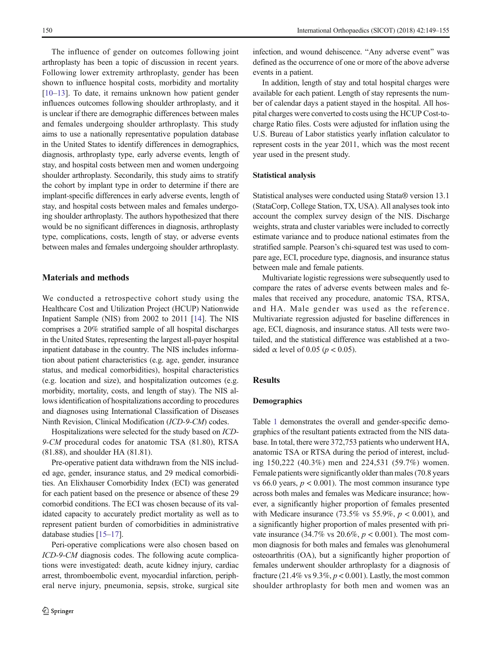The influence of gender on outcomes following joint arthroplasty has been a topic of discussion in recent years. Following lower extremity arthroplasty, gender has been shown to influence hospital costs, morbidity and mortality [10–13]. To date, it remains unknown how patient gender influences outcomes following shoulder arthroplasty, and it is unclear if there are demographic differences between males and females undergoing shoulder arthroplasty. This study aims to use a nationally representative population database in the United States to identify differences in demographics, diagnosis, arthroplasty type, early adverse events, length of stay, and hospital costs between men and women undergoing shoulder arthroplasty. Secondarily, this study aims to stratify the cohort by implant type in order to determine if there are implant-specific differences in early adverse events, length of stay, and hospital costs between males and females undergoing shoulder arthroplasty. The authors hypothesized that there would be no significant differences in diagnosis, arthroplasty type, complications, costs, length of stay, or adverse events between males and females undergoing shoulder arthroplasty.

### Materials and methods

We conducted a retrospective cohort study using the Healthcare Cost and Utilization Project (HCUP) Nationwide Inpatient Sample (NIS) from 2002 to 2011 [14]. The NIS comprises a 20% stratified sample of all hospital discharges in the United States, representing the largest all-payer hospital inpatient database in the country. The NIS includes information about patient characteristics (e.g. age, gender, insurance status, and medical comorbidities), hospital characteristics (e.g. location and size), and hospitalization outcomes (e.g. morbidity, mortality, costs, and length of stay). The NIS allows identification of hospitalizations according to procedures and diagnoses using International Classification of Diseases Ninth Revision, Clinical Modification (ICD-9-CM) codes.

Hospitalizations were selected for the study based on ICD-9-CM procedural codes for anatomic TSA (81.80), RTSA (81.88), and shoulder HA (81.81).

Pre-operative patient data withdrawn from the NIS included age, gender, insurance status, and 29 medical comorbidities. An Elixhauser Comorbidity Index (ECI) was generated for each patient based on the presence or absence of these 29 comorbid conditions. The ECI was chosen because of its validated capacity to accurately predict mortality as well as to represent patient burden of comorbidities in administrative database studies [15–17].

Peri-operative complications were also chosen based on ICD-9-CM diagnosis codes. The following acute complications were investigated: death, acute kidney injury, cardiac arrest, thromboembolic event, myocardial infarction, peripheral nerve injury, pneumonia, sepsis, stroke, surgical site infection, and wound dehiscence. "Any adverse event" was defined as the occurrence of one or more of the above adverse events in a patient.

In addition, length of stay and total hospital charges were available for each patient. Length of stay represents the number of calendar days a patient stayed in the hospital. All hospital charges were converted to costs using the HCUP Cost-tocharge Ratio files. Costs were adjusted for inflation using the U.S. Bureau of Labor statistics yearly inflation calculator to represent costs in the year 2011, which was the most recent year used in the present study.

#### Statistical analysis

Statistical analyses were conducted using Stata® version 13.1 (StataCorp, College Station, TX, USA). All analyses took into account the complex survey design of the NIS. Discharge weights, strata and cluster variables were included to correctly estimate variance and to produce national estimates from the stratified sample. Pearson's chi-squared test was used to compare age, ECI, procedure type, diagnosis, and insurance status between male and female patients.

Multivariate logistic regressions were subsequently used to compare the rates of adverse events between males and females that received any procedure, anatomic TSA, RTSA, and HA. Male gender was used as the reference. Multivariate regression adjusted for baseline differences in age, ECI, diagnosis, and insurance status. All tests were twotailed, and the statistical difference was established at a twosided  $\alpha$  level of 0.05 ( $p < 0.05$ ).

# **Results**

### Demographics

Table 1 demonstrates the overall and gender-specific demographics of the resultant patients extracted from the NIS database. In total, there were 372,753 patients who underwent HA, anatomic TSA or RTSA during the period of interest, including 150,222 (40.3%) men and 224,531 (59.7%) women. Female patients were significantly older than males (70.8 years vs 66.0 years,  $p < 0.001$ ). The most common insurance type across both males and females was Medicare insurance; however, a significantly higher proportion of females presented with Medicare insurance (73.5% vs 55.9%,  $p < 0.001$ ), and a significantly higher proportion of males presented with private insurance (34.7% vs 20.6%,  $p < 0.001$ ). The most common diagnosis for both males and females was glenohumeral osteoarthritis (OA), but a significantly higher proportion of females underwent shoulder arthroplasty for a diagnosis of fracture (21.4% vs  $9.3\%, p < 0.001$ ). Lastly, the most common shoulder arthroplasty for both men and women was an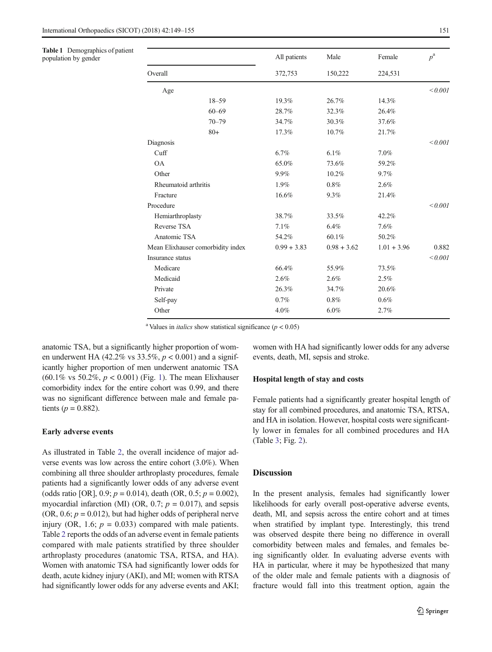Table 1 Demographics of patient

population by gender

|                                   | All patients  | Male          | Female        | $p^{\rm a}$ |  |
|-----------------------------------|---------------|---------------|---------------|-------------|--|
| Overall                           | 372,753       | 150,222       | 224,531       |             |  |
| Age                               |               |               |               | < 0.001     |  |
| $18 - 59$                         | 19.3%         | 26.7%         | 14.3%         |             |  |
| $60 - 69$                         | 28.7%         | 32.3%         | 26.4%         |             |  |
| $70 - 79$                         | 34.7%         | 30.3%         | 37.6%         |             |  |
| $80+$                             | 17.3%         | 10.7%         | 21.7%         |             |  |
| Diagnosis                         |               |               |               | < 0.001     |  |
| Cuff                              | 6.7%          | 6.1%          | $7.0\%$       |             |  |
| <b>OA</b>                         | 65.0%         | 73.6%         | 59.2%         |             |  |
| Other                             | 9.9%          | 10.2%         | 9.7%          |             |  |
| Rheumatoid arthritis              | 1.9%          | 0.8%          | 2.6%          |             |  |
| Fracture                          | 16.6%         | 9.3%          | 21.4%         |             |  |
| Procedure                         |               |               |               | < 0.001     |  |
| Hemiarthroplasty                  | 38.7%         | 33.5%         | 42.2%         |             |  |
| Reverse TSA                       | 7.1%          | 6.4%          | 7.6%          |             |  |
| Anatomic TSA                      | 54.2%         | 60.1%         | 50.2%         |             |  |
| Mean Elixhauser comorbidity index | $0.99 + 3.83$ | $0.98 + 3.62$ | $1.01 + 3.96$ | 0.882       |  |
| Insurance status                  |               |               |               | < 0.001     |  |
| Medicare                          | 66.4%         | 55.9%         | 73.5%         |             |  |
| Medicaid                          | 2.6%          | 2.6%          | $2.5\%$       |             |  |
| Private                           | 26.3%         | 34.7%         | 20.6%         |             |  |
| Self-pay                          | 0.7%          | 0.8%          | 0.6%          |             |  |
| Other                             | 4.0%          | $6.0\%$       | 2.7%          |             |  |

<sup>a</sup> Values in *italics* show statistical significance  $(p < 0.05)$ 

anatomic TSA, but a significantly higher proportion of women underwent HA (42.2% vs 33.5%,  $p < 0.001$ ) and a significantly higher proportion of men underwent anatomic TSA  $(60.1\% \text{ vs } 50.2\%, p < 0.001)$  (Fig. 1). The mean Elixhauser comorbidity index for the entire cohort was 0.99, and there was no significant difference between male and female patients ( $p = 0.882$ ).

### Early adverse events

As illustrated in Table 2, the overall incidence of major adverse events was low across the entire cohort (3.0%). When combining all three shoulder arthroplasty procedures, female patients had a significantly lower odds of any adverse event (odds ratio [OR], 0.9;  $p = 0.014$ ), death (OR, 0.5;  $p = 0.002$ ), myocardial infarction (MI) (OR, 0.7;  $p = 0.017$ ), and sepsis  $(OR, 0.6; p = 0.012)$ , but had higher odds of peripheral nerve injury (OR, 1.6;  $p = 0.033$ ) compared with male patients. Table 2 reports the odds of an adverse event in female patients compared with male patients stratified by three shoulder arthroplasty procedures (anatomic TSA, RTSA, and HA). Women with anatomic TSA had significantly lower odds for death, acute kidney injury (AKI), and MI; women with RTSA had significantly lower odds for any adverse events and AKI;

women with HA had significantly lower odds for any adverse events, death, MI, sepsis and stroke.

### Hospital length of stay and costs

Female patients had a significantly greater hospital length of stay for all combined procedures, and anatomic TSA, RTSA, and HA in isolation. However, hospital costs were significantly lower in females for all combined procedures and HA (Table 3; Fig. 2).

# **Discussion**

In the present analysis, females had significantly lower likelihoods for early overall post-operative adverse events, death, MI, and sepsis across the entire cohort and at times when stratified by implant type. Interestingly, this trend was observed despite there being no difference in overall comorbidity between males and females, and females being significantly older. In evaluating adverse events with HA in particular, where it may be hypothesized that many of the older male and female patients with a diagnosis of fracture would fall into this treatment option, again the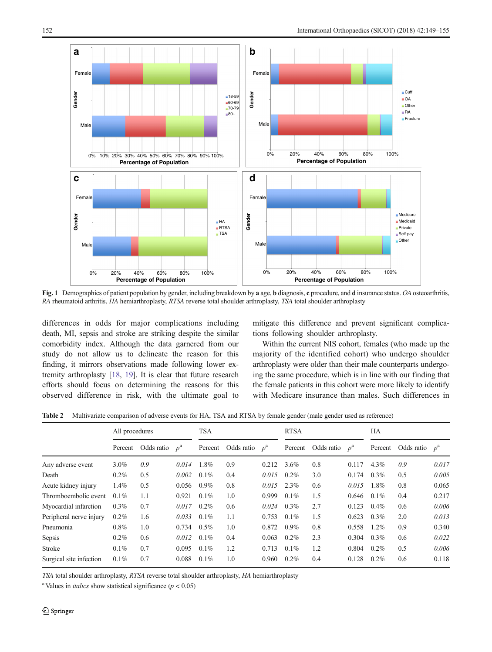

Fig. 1 Demographics of patient population by gender, including breakdown by a age, b diagnosis, c procedure, and d insurance status. OA osteoarthritis, RA rheumatoid arthritis, HA hemiarthroplasty, RTSA reverse total shoulder arthroplasty, TSA total shoulder arthroplasty

differences in odds for major complications including death, MI, sepsis and stroke are striking despite the similar comorbidity index. Although the data garnered from our study do not allow us to delineate the reason for this finding, it mirrors observations made following lower extremity arthroplasty [18, 19]. It is clear that future research efforts should focus on determining the reasons for this observed difference in risk, with the ultimate goal to mitigate this difference and prevent significant complications following shoulder arthroplasty.

Within the current NIS cohort, females (who made up the majority of the identified cohort) who undergo shoulder arthroplasty were older than their male counterparts undergoing the same procedure, which is in line with our finding that the female patients in this cohort were more likely to identify with Medicare insurance than males. Such differences in

Table 2 Multivariate comparison of adverse events for HA, TSA and RTSA by female gender (male gender used as reference)

|                         | All procedures |                  |       | <b>TSA</b> |                  |       | <b>RTSA</b> |                  |       | HA      |                  |       |
|-------------------------|----------------|------------------|-------|------------|------------------|-------|-------------|------------------|-------|---------|------------------|-------|
|                         | Percent        | Odds ratio $p^a$ |       | Percent    | Odds ratio $p^a$ |       | Percent     | Odds ratio $p^a$ |       | Percent | Odds ratio $p^a$ |       |
| Any adverse event       | $3.0\%$        | 0.9              | 0.014 | 1.8%       | 0.9              | 0.212 | 3.6%        | 0.8              | 0.117 | $4.3\%$ | 0.9              | 0.017 |
| Death                   | $0.2\%$        | 0.5              | 0.002 | 0.1%       | 0.4              | 0.015 | $0.2\%$     | 3.0              | 0.174 | $0.3\%$ | 0.5              | 0.005 |
| Acute kidney injury     | $1.4\%$        | 0.5              | 0.056 | $0.9\%$    | 0.8              | 0.015 | $2.3\%$     | 0.6              | 0.015 | 1.8%    | 0.8              | 0.065 |
| Thromboembolic event    | $0.1\%$        | 1.1              | 0.921 | 0.1%       | 1.0              | 0.999 | $0.1\%$     | 1.5              | 0.646 | $0.1\%$ | 0.4              | 0.217 |
| Myocardial infarction   | $0.3\%$        | 0.7              | 0.017 | 0.2%       | 0.6              | 0.024 | $0.3\%$     | 2.7              | 0.123 | 0.4%    | 0.6              | 0.006 |
| Peripheral nerve injury | 0.2%           | 1.6              | 0.033 | 0.1%       | 1.1              | 0.753 | $0.1\%$     | 1.5              | 0.623 | $0.3\%$ | 2.0              | 0.013 |
| Pneumonia               | $0.8\%$        | 1.0              | 0.734 | $0.5\%$    | 1.0              | 0.872 | $0.9\%$     | 0.8              | 0.558 | $1.2\%$ | 0.9              | 0.340 |
| Sepsis                  | $0.2\%$        | 0.6              | 0.012 | 0.1%       | 0.4              | 0.063 | $0.2\%$     | 2.3              | 0.304 | $0.3\%$ | 0.6              | 0.022 |
| Stroke                  | $0.1\%$        | 0.7              | 0.095 | 0.1%       | 1.2              | 0.713 | $0.1\%$     | 1.2              | 0.804 | $0.2\%$ | 0.5              | 0.006 |
| Surgical site infection | $0.1\%$        | 0.7              | 0.088 | 0.1%       | 1.0              | 0.960 | $0.2\%$     | 0.4              | 0.128 | $0.2\%$ | 0.6              | 0.118 |

TSA total shoulder arthroplasty, RTSA reverse total shoulder arthroplasty, HA hemiarthroplasty

<sup>a</sup> Values in *italics* show statistical significance  $(p < 0.05)$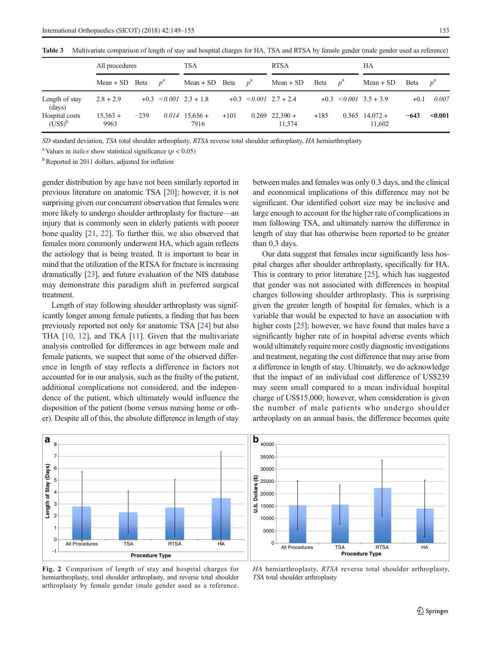|                             | All procedures       |        | TSA |                              |        | <b>RTSA</b> |                              |            | НA |                              |        |             |
|-----------------------------|----------------------|--------|-----|------------------------------|--------|-------------|------------------------------|------------|----|------------------------------|--------|-------------|
|                             | Mean + SD Beta $p^a$ |        |     | Mean + SD Beta $p^a$         |        |             | $Mean + SD$                  | Beta $p^a$ |    | $Mean + SD$                  | Beta   | $p^{\rm a}$ |
| Length of stay<br>(days)    | $2.8 + 2.9$          |        |     | $+0.3$ $< 0.001$ $2.3 + 1.8$ |        |             | $+0.3$ $< 0.001$ $2.7 + 2.4$ |            |    | $+0.3$ $< 0.001$ $3.5 + 3.9$ | $+0.1$ | 0.007       |
| Hospital costs<br>$(US$)^b$ | $15,363 +$<br>9963   | $-239$ |     | $0.014$ 15,656 +<br>7916     | $+101$ |             | $0.269$ 22.390 +<br>11.374   | $+185$     |    | $0.565$ 14,072 +<br>11,602   | $-643$ | < 0.001     |

Table 3 Multivariate comparison of length of stay and hospital charges for HA, TSA and RTSA by female gender (male gender used as reference)

SD standard deviation, TSA total shoulder arthroplasty, RTSA reverse total shoulder arthroplasty, HA hemiarthroplasty

<sup>a</sup> Values in *italics* show statistical significance  $(p < 0.05)$ 

<sup>b</sup> Reported in 2011 dollars, adjusted for inflation

gender distribution by age have not been similarly reported in previous literature on anatomic TSA [20]; however, it is not surprising given our concurrent observation that females were more likely to undergo shoulder arthroplasty for fracture—an injury that is commonly seen in elderly patients with poorer bone quality [21, 22]. To further this, we also observed that females more commonly underwent HA, which again reflects the aetiology that is being treated. It is important to bear in mind that the utilization of the RTSA for fracture is increasing dramatically [23], and future evaluation of the NIS database may demonstrate this paradigm shift in preferred surgical treatment.

Length of stay following shoulder arthroplasty was significantly longer among female patients, a finding that has been previously reported not only for anatomic TSA [24] but also THA [10, 12], and TKA [11]. Given that the multivariate analysis controlled for differences in age between male and female patients, we suspect that some of the observed difference in length of stay reflects a difference in factors not accounted for in our analysis, such as the frailty of the patient, additional complications not considered, and the independence of the patient, which ultimately would influence the disposition of the patient (home versus nursing home or other). Despite all of this, the absolute difference in length of stay between males and females was only 0.3 days, and the clinical and economical implications of this difference may not be significant. Our identified cohort size may be inclusive and large enough to account for the higher rate of complications in men following TSA, and ultimately narrow the difference in length of stay that has otherwise been reported to be greater than 0.3 days.

Our data suggest that females incur significantly less hospital charges after shoulder arthroplasty, specifically for HA. This is contrary to prior literature [25], which has suggested that gender was not associated with differences in hospital charges following shoulder arthroplasty. This is surprising given the greater length of hospital for females, which is a variable that would be expected to have an association with higher costs [25]; however, we have found that males have a significantly higher rate of in hospital adverse events which would ultimately require more costly diagnostic investigations and treatment, negating the cost difference that may arise from a difference in length of stay. Ultimately, we do acknowledge that the impact of an individual cost difference of US\$239 may seem small compared to a mean individual hospital charge of US\$15,000; however, when consideration is given the number of male patients who undergo shoulder arthroplasty on an annual basis, the difference becomes quite





Fig. 2 Comparison of length of stay and hospital charges for hemiarthroplasty, total shoulder arthroplasty, and reverse total shoulder arthroplasty by female gender (male gender used as a reference.

HA hemiarthroplasty, RTSA reverse total shoulder arthroplasty, TSA total shoulder arthroplasty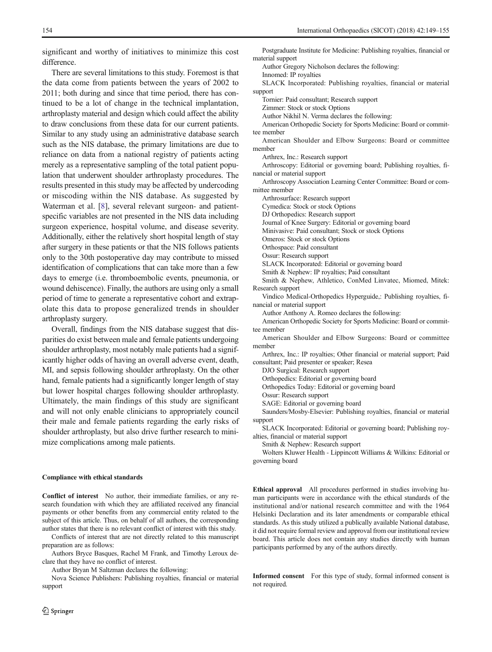significant and worthy of initiatives to minimize this cost difference.

There are several limitations to this study. Foremost is that the data come from patients between the years of 2002 to 2011; both during and since that time period, there has continued to be a lot of change in the technical implantation, arthroplasty material and design which could affect the ability to draw conclusions from these data for our current patients. Similar to any study using an administrative database search such as the NIS database, the primary limitations are due to reliance on data from a national registry of patients acting merely as a representative sampling of the total patient population that underwent shoulder arthroplasty procedures. The results presented in this study may be affected by undercoding or miscoding within the NIS database. As suggested by Waterman et al. [8], several relevant surgeon- and patientspecific variables are not presented in the NIS data including surgeon experience, hospital volume, and disease severity. Additionally, either the relatively short hospital length of stay after surgery in these patients or that the NIS follows patients only to the 30th postoperative day may contribute to missed identification of complications that can take more than a few days to emerge (i.e. thromboembolic events, pneumonia, or wound dehiscence). Finally, the authors are using only a small period of time to generate a representative cohort and extrapolate this data to propose generalized trends in shoulder arthroplasty surgery.

Overall, findings from the NIS database suggest that disparities do exist between male and female patients undergoing shoulder arthroplasty, most notably male patients had a significantly higher odds of having an overall adverse event, death, MI, and sepsis following shoulder arthroplasty. On the other hand, female patients had a significantly longer length of stay but lower hospital charges following shoulder arthroplasty. Ultimately, the main findings of this study are significant and will not only enable clinicians to appropriately council their male and female patients regarding the early risks of shoulder arthroplasty, but also drive further research to minimize complications among male patients.

#### Compliance with ethical standards

Conflict of interest No author, their immediate families, or any research foundation with which they are affiliated received any financial payments or other benefits from any commercial entity related to the subject of this article. Thus, on behalf of all authors, the corresponding author states that there is no relevant conflict of interest with this study.

Conflicts of interest that are not directly related to this manuscript preparation are as follows:

Authors Bryce Basques, Rachel M Frank, and Timothy Leroux declare that they have no conflict of interest.

Author Bryan M Saltzman declares the following:

Nova Science Publishers: Publishing royalties, financial or material support

Postgraduate Institute for Medicine: Publishing royalties, financial or material support

Author Gregory Nicholson declares the following:

Innomed: IP royalties

SLACK Incorporated: Publishing royalties, financial or material support

Tornier: Paid consultant; Research support

Zimmer: Stock or stock Options

Author Nikhil N. Verma declares the following:

American Orthopedic Society for Sports Medicine: Board or committee member

American Shoulder and Elbow Surgeons: Board or committee member

Arthrex, Inc.: Research support

Arthroscopy: Editorial or governing board; Publishing royalties, financial or material support

Arthroscopy Association Learning Center Committee: Board or committee member

Arthrosurface: Research support

Cymedica: Stock or stock Options

DJ Orthopedics: Research support

Journal of Knee Surgery: Editorial or governing board

Minivasive: Paid consultant; Stock or stock Options

Omeros: Stock or stock Options

Orthospace: Paid consultant

Ossur: Research support

SLACK Incorporated: Editorial or governing board

Smith & Nephew: IP royalties; Paid consultant

Smith & Nephew, Athletico, ConMed Linvatec, Miomed, Mitek: Research support

Vindico Medical-Orthopedics Hyperguide,: Publishing royalties, financial or material support

Author Anthony A. Romeo declares the following:

American Orthopedic Society for Sports Medicine: Board or committee member

American Shoulder and Elbow Surgeons: Board or committee member

Arthrex, Inc.: IP royalties; Other financial or material support; Paid consultant; Paid presenter or speaker; Resea

DJO Surgical: Research support

Orthopedics: Editorial or governing board

Orthopedics Today: Editorial or governing board

Ossur: Research support

SAGE: Editorial or governing board

Saunders/Mosby-Elsevier: Publishing royalties, financial or material support

SLACK Incorporated: Editorial or governing board; Publishing royalties, financial or material support

Smith & Nephew: Research support

Wolters Kluwer Health - Lippincott Williams & Wilkins: Editorial or governing board

Ethical approval All procedures performed in studies involving human participants were in accordance with the ethical standards of the institutional and/or national research committee and with the 1964 Helsinki Declaration and its later amendments or comparable ethical standards. As this study utilized a publically available National database, it did not require formal review and approval from our institutional review board. This article does not contain any studies directly with human participants performed by any of the authors directly.

Informed consent For this type of study, formal informed consent is not required.